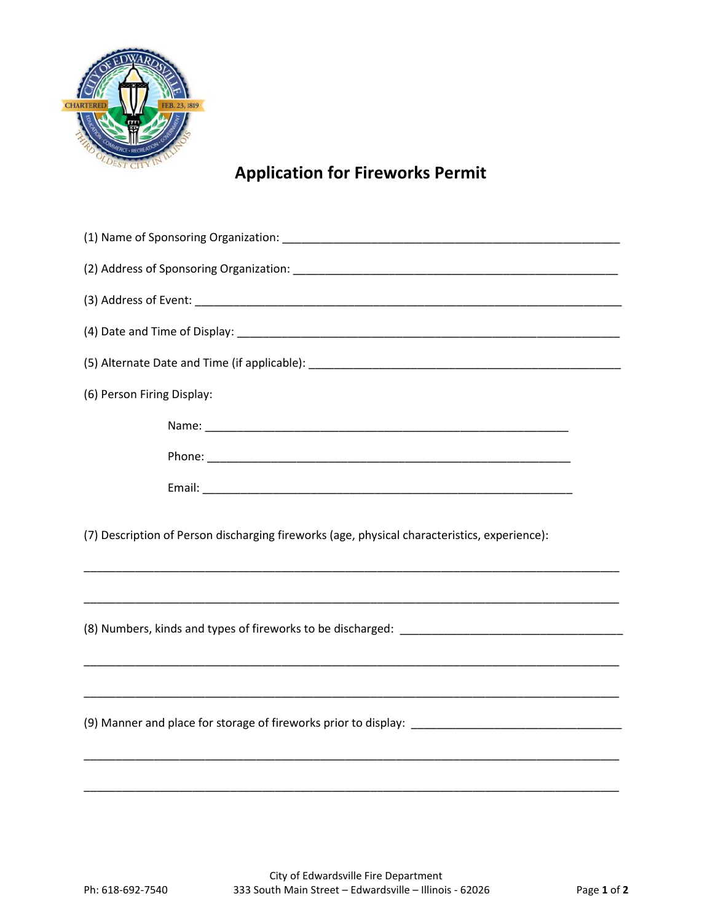

## **Application for Fireworks Permit**

| (6) Person Firing Display:                                                                                           |
|----------------------------------------------------------------------------------------------------------------------|
|                                                                                                                      |
|                                                                                                                      |
|                                                                                                                      |
| (7) Description of Person discharging fireworks (age, physical characteristics, experience):                         |
| <u> 1989 - Andrea Santa Alemania, amerikana amerikana amerikana amerikana amerikana amerikana amerikana amerikan</u> |
|                                                                                                                      |
|                                                                                                                      |